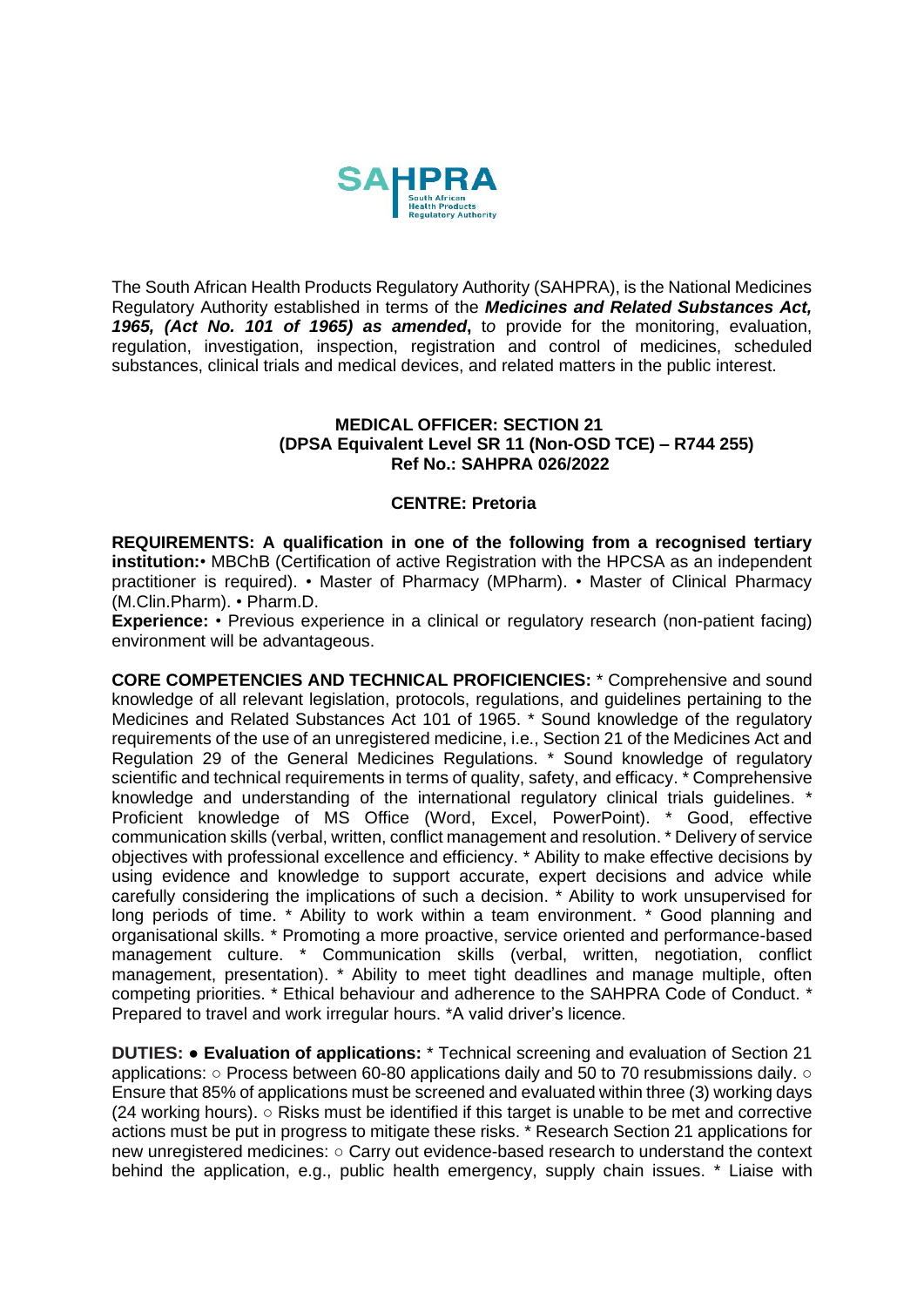

The South African Health Products Regulatory Authority (SAHPRA), is the National Medicines Regulatory Authority established in terms of the *Medicines and Related Substances Act, 1965, (Act No. 101 of 1965) as amended***,** t*o* provide for the monitoring, evaluation, regulation, investigation, inspection, registration and control of medicines, scheduled substances, clinical trials and medical devices, and related matters in the public interest.

## **MEDICAL OFFICER: SECTION 21 (DPSA Equivalent Level SR 11 (Non-OSD TCE) – R744 255) Ref No.: SAHPRA 026/2022**

## **CENTRE: Pretoria**

**REQUIREMENTS: A qualification in one of the following from a recognised tertiary institution:**• MBChB (Certification of active Registration with the HPCSA as an independent practitioner is required). • Master of Pharmacy (MPharm). • Master of Clinical Pharmacy (M.Clin.Pharm). • Pharm.D.

**Experience:** • Previous experience in a clinical or regulatory research (non-patient facing) environment will be advantageous.

**CORE COMPETENCIES AND TECHNICAL PROFICIENCIES:** \* Comprehensive and sound knowledge of all relevant legislation, protocols, regulations, and guidelines pertaining to the Medicines and Related Substances Act 101 of 1965. \* Sound knowledge of the regulatory requirements of the use of an unregistered medicine, i.e., Section 21 of the Medicines Act and Regulation 29 of the General Medicines Regulations. \* Sound knowledge of regulatory scientific and technical requirements in terms of quality, safety, and efficacy. \*Comprehensive knowledge and understanding of the international regulatory clinical trials guidelines. \* Proficient knowledge of MS Office (Word, Excel, PowerPoint). \* Good, effective communication skills (verbal, written, conflict management and resolution. \* Delivery of service objectives with professional excellence and efficiency. \* Ability to make effective decisions by using evidence and knowledge to support accurate, expert decisions and advice while carefully considering the implications of such a decision. \* Ability to work unsupervised for long periods of time. \* Ability to work within a team environment. \* Good planning and organisational skills. \* Promoting a more proactive, service oriented and performance-based management culture. \* Communication skills (verbal, written, negotiation, conflict management, presentation). \* Ability to meet tight deadlines and manage multiple, often competing priorities. \* Ethical behaviour and adherence to the SAHPRA Code of Conduct. \* Prepared to travel and work irregular hours. \*A valid driver's licence.

**DUTIES:** ● **Evaluation of applications:** \* Technical screening and evaluation of Section 21 applications: ○ Process between 60-80 applications daily and 50 to 70 resubmissions daily. ○ Ensure that 85% of applications must be screened and evaluated within three (3) working days (24 working hours). ○ Risks must be identified if this target is unable to be met and corrective actions must be put in progress to mitigate these risks. \* Research Section 21 applications for new unregistered medicines: ○ Carry out evidence-based research to understand the context behind the application, e.g., public health emergency, supply chain issues. \* Liaise with